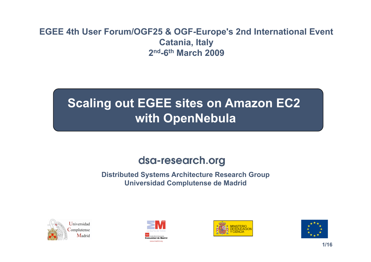### **EGEE 4th User Forum/OGF25 & OGF-Europe's 2nd International Event Catania, Italy 2nd-6th March 2009**

# **Scaling out EGEE sites on Amazon EC2 with OpenNebula**

### dsa-research.org

**Distributed Systems Architecture Research Group Universidad Complutense de Madrid** 







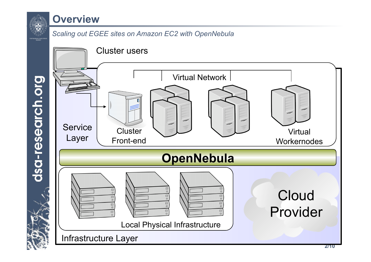

### **Overview**

#### *Scaling out EGEE sites on Amazon EC2 with OpenNebula*

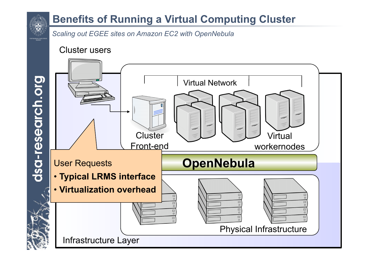

*Scaling out EGEE sites on Amazon EC2 with OpenNebula* 

Cluster users

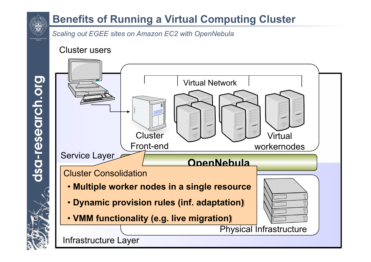

*Scaling out EGEE sites on Amazon EC2 with OpenNebula* 

Cluster users



dsa-research.org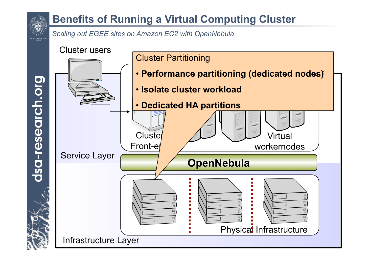*Scaling out EGEE sites on Amazon EC2 with OpenNebula* 



dsa-research.org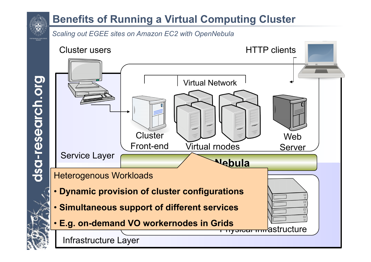#### *Scaling out EGEE sites on Amazon EC2 with OpenNebula*

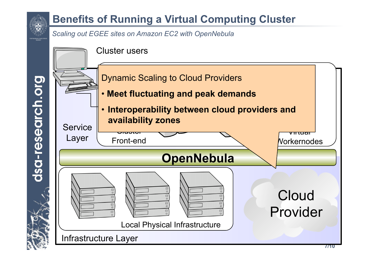

dsa-research.org

## **Benefits of Running a Virtual Computing Cluster**

*Scaling out EGEE sites on Amazon EC2 with OpenNebula* 

Cluster users

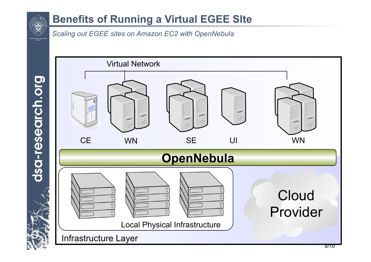

### **Benefits of Running a Virtual EGEE SIte**

*Scaling out EGEE sites on Amazon EC2 with OpenNebula* 

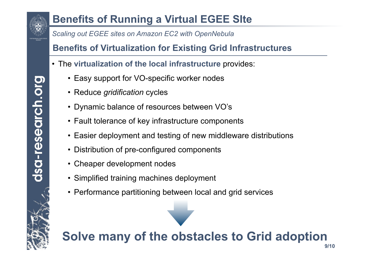

## **Benefits of Running a Virtual EGEE SIte**

*Scaling out EGEE sites on Amazon EC2 with OpenNebula* 

**Benefits of Virtualization for Existing Grid Infrastructures** 

- The **virtualization of the local infrastructure** provides:
	- Easy support for VO-specific worker nodes
	- Reduce *gridification* cycles
	- Dynamic balance of resources between VO's
	- Fault tolerance of key infrastructure components
	- Easier deployment and testing of new middleware distributions
	- Distribution of pre-configured components
	- Cheaper development nodes
	- Simplified training machines deployment
	- Performance partitioning between local and grid services

#### **9/10 Solve many of the obstacles to Grid adoption**